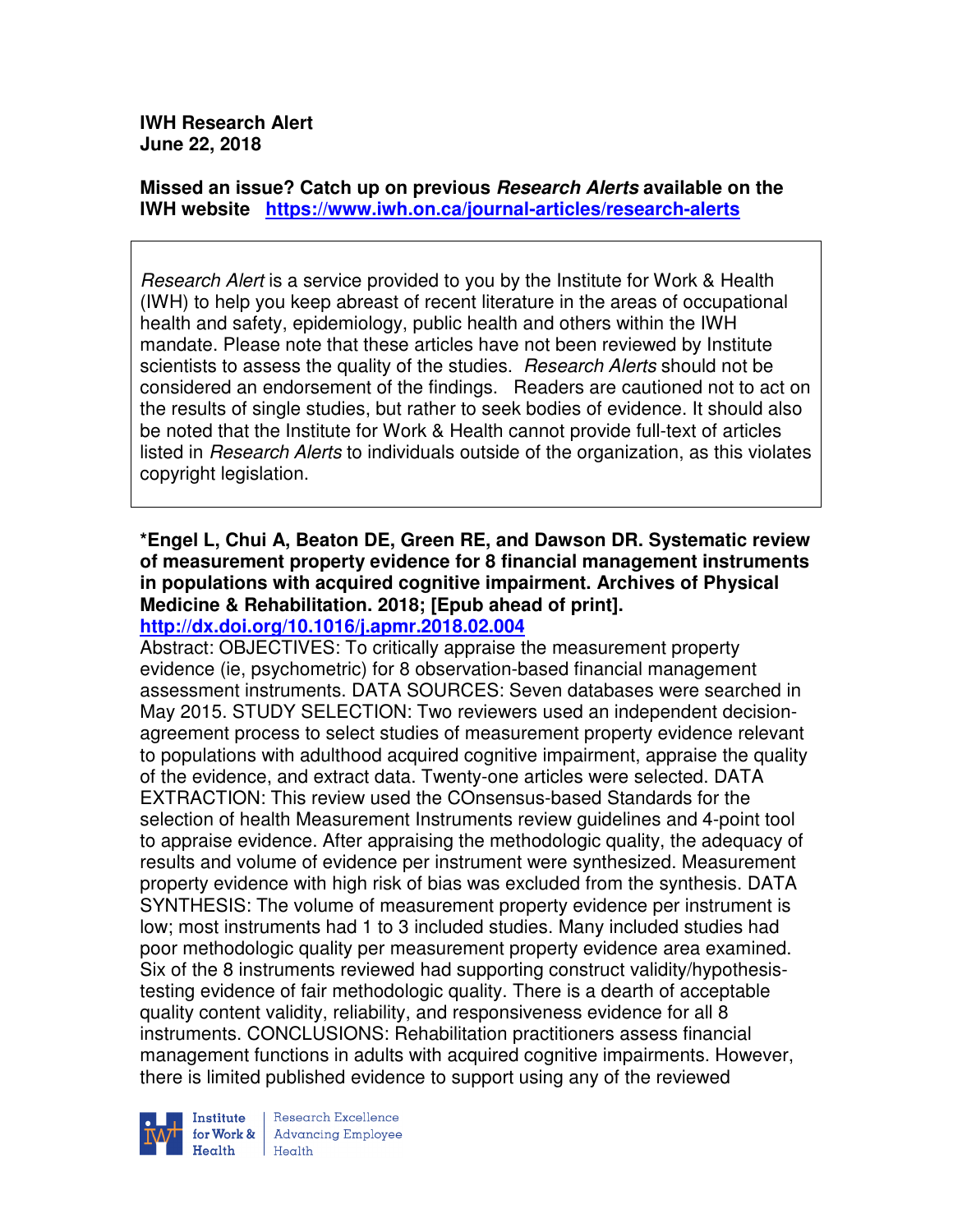**IWH Research Alert June 22, 2018** 

**Missed an issue? Catch up on previous Research Alerts available on the IWH website https://www.iwh.on.ca/journal-articles/research-alerts** 

Research Alert is a service provided to you by the Institute for Work & Health (IWH) to help you keep abreast of recent literature in the areas of occupational health and safety, epidemiology, public health and others within the IWH mandate. Please note that these articles have not been reviewed by Institute scientists to assess the quality of the studies. *Research Alerts* should not be considered an endorsement of the findings. Readers are cautioned not to act on the results of single studies, but rather to seek bodies of evidence. It should also be noted that the Institute for Work & Health cannot provide full-text of articles listed in Research Alerts to individuals outside of the organization, as this violates copyright legislation.

#### **\*Engel L, Chui A, Beaton DE, Green RE, and Dawson DR. Systematic review of measurement property evidence for 8 financial management instruments in populations with acquired cognitive impairment. Archives of Physical Medicine & Rehabilitation. 2018; [Epub ahead of print]. http://dx.doi.org/10.1016/j.apmr.2018.02.004**

Abstract: OBJECTIVES: To critically appraise the measurement property evidence (ie, psychometric) for 8 observation-based financial management assessment instruments. DATA SOURCES: Seven databases were searched in May 2015. STUDY SELECTION: Two reviewers used an independent decisionagreement process to select studies of measurement property evidence relevant to populations with adulthood acquired cognitive impairment, appraise the quality of the evidence, and extract data. Twenty-one articles were selected. DATA EXTRACTION: This review used the COnsensus-based Standards for the selection of health Measurement Instruments review guidelines and 4-point tool to appraise evidence. After appraising the methodologic quality, the adequacy of results and volume of evidence per instrument were synthesized. Measurement property evidence with high risk of bias was excluded from the synthesis. DATA SYNTHESIS: The volume of measurement property evidence per instrument is low; most instruments had 1 to 3 included studies. Many included studies had poor methodologic quality per measurement property evidence area examined. Six of the 8 instruments reviewed had supporting construct validity/hypothesistesting evidence of fair methodologic quality. There is a dearth of acceptable quality content validity, reliability, and responsiveness evidence for all 8 instruments. CONCLUSIONS: Rehabilitation practitioners assess financial management functions in adults with acquired cognitive impairments. However, there is limited published evidence to support using any of the reviewed

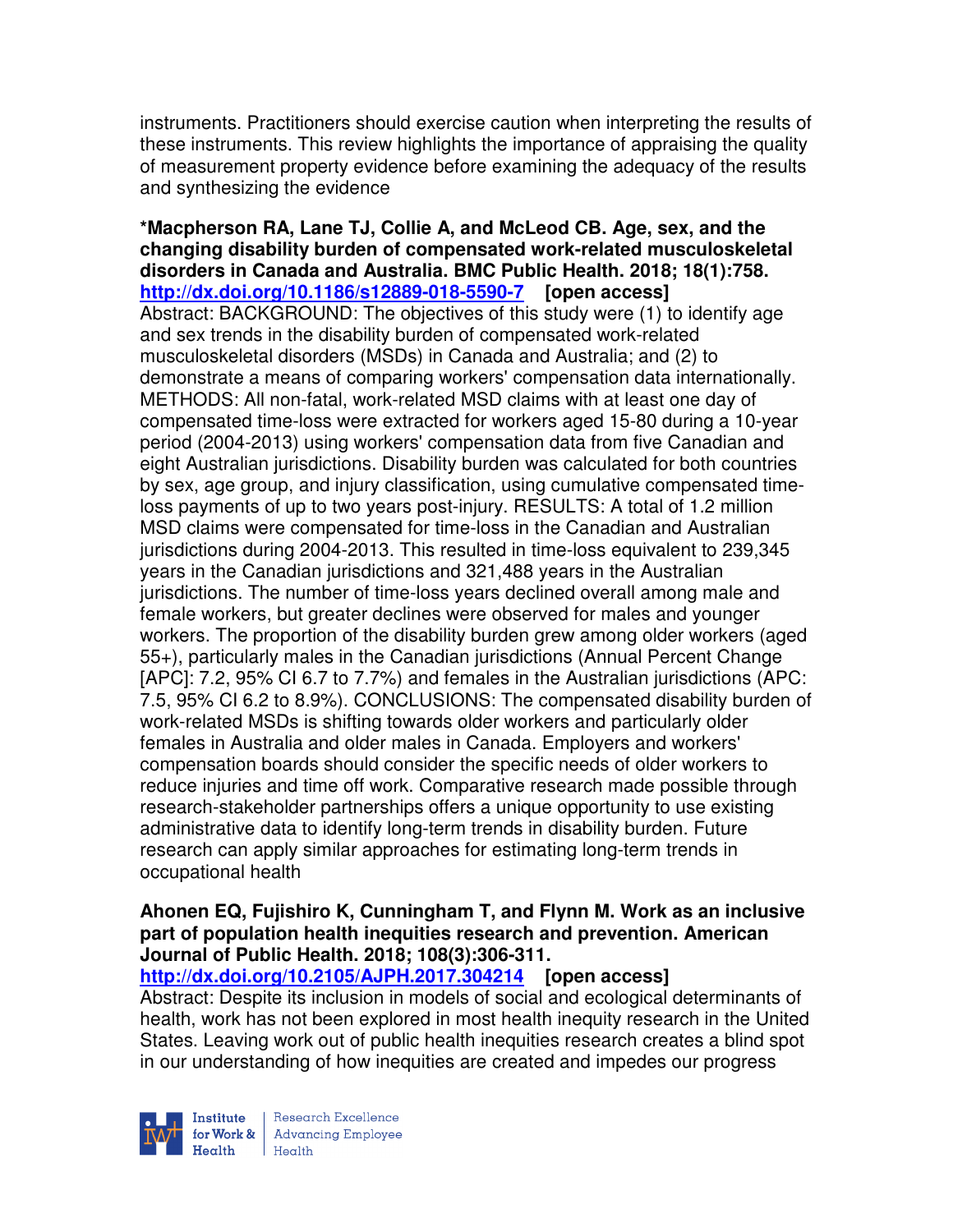instruments. Practitioners should exercise caution when interpreting the results of these instruments. This review highlights the importance of appraising the quality of measurement property evidence before examining the adequacy of the results and synthesizing the evidence

**\*Macpherson RA, Lane TJ, Collie A, and McLeod CB. Age, sex, and the changing disability burden of compensated work-related musculoskeletal disorders in Canada and Australia. BMC Public Health. 2018; 18(1):758. http://dx.doi.org/10.1186/s12889-018-5590-7 [open access]** Abstract: BACKGROUND: The objectives of this study were (1) to identify age and sex trends in the disability burden of compensated work-related musculoskeletal disorders (MSDs) in Canada and Australia; and (2) to demonstrate a means of comparing workers' compensation data internationally. METHODS: All non-fatal, work-related MSD claims with at least one day of compensated time-loss were extracted for workers aged 15-80 during a 10-year period (2004-2013) using workers' compensation data from five Canadian and eight Australian jurisdictions. Disability burden was calculated for both countries by sex, age group, and injury classification, using cumulative compensated timeloss payments of up to two years post-injury. RESULTS: A total of 1.2 million MSD claims were compensated for time-loss in the Canadian and Australian jurisdictions during 2004-2013. This resulted in time-loss equivalent to 239,345 years in the Canadian jurisdictions and 321,488 years in the Australian jurisdictions. The number of time-loss years declined overall among male and female workers, but greater declines were observed for males and younger workers. The proportion of the disability burden grew among older workers (aged 55+), particularly males in the Canadian jurisdictions (Annual Percent Change [APC]: 7.2, 95% CI 6.7 to 7.7%) and females in the Australian jurisdictions (APC: 7.5, 95% CI 6.2 to 8.9%). CONCLUSIONS: The compensated disability burden of work-related MSDs is shifting towards older workers and particularly older females in Australia and older males in Canada. Employers and workers' compensation boards should consider the specific needs of older workers to reduce injuries and time off work. Comparative research made possible through research-stakeholder partnerships offers a unique opportunity to use existing administrative data to identify long-term trends in disability burden. Future research can apply similar approaches for estimating long-term trends in occupational health

# **Ahonen EQ, Fujishiro K, Cunningham T, and Flynn M. Work as an inclusive part of population health inequities research and prevention. American Journal of Public Health. 2018; 108(3):306-311.**

**http://dx.doi.org/10.2105/AJPH.2017.304214 [open access]**

Abstract: Despite its inclusion in models of social and ecological determinants of health, work has not been explored in most health inequity research in the United States. Leaving work out of public health inequities research creates a blind spot in our understanding of how inequities are created and impedes our progress

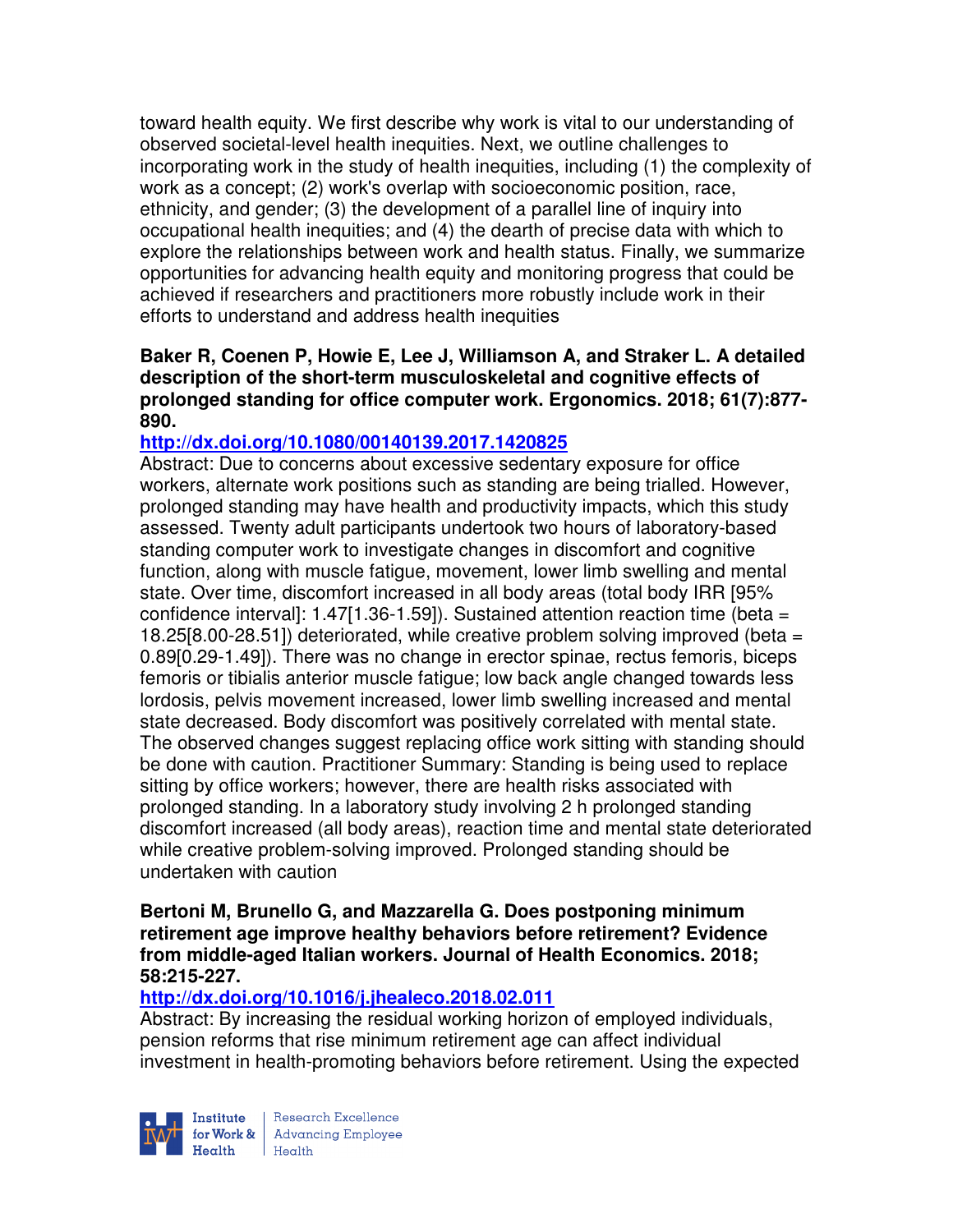toward health equity. We first describe why work is vital to our understanding of observed societal-level health inequities. Next, we outline challenges to incorporating work in the study of health inequities, including (1) the complexity of work as a concept; (2) work's overlap with socioeconomic position, race, ethnicity, and gender; (3) the development of a parallel line of inquiry into occupational health inequities; and (4) the dearth of precise data with which to explore the relationships between work and health status. Finally, we summarize opportunities for advancing health equity and monitoring progress that could be achieved if researchers and practitioners more robustly include work in their efforts to understand and address health inequities

### **Baker R, Coenen P, Howie E, Lee J, Williamson A, and Straker L. A detailed description of the short-term musculoskeletal and cognitive effects of prolonged standing for office computer work. Ergonomics. 2018; 61(7):877- 890.**

# **http://dx.doi.org/10.1080/00140139.2017.1420825**

Abstract: Due to concerns about excessive sedentary exposure for office workers, alternate work positions such as standing are being trialled. However, prolonged standing may have health and productivity impacts, which this study assessed. Twenty adult participants undertook two hours of laboratory-based standing computer work to investigate changes in discomfort and cognitive function, along with muscle fatigue, movement, lower limb swelling and mental state. Over time, discomfort increased in all body areas (total body IRR [95% confidence interval]:  $1.47[1.36-1.59]$ . Sustained attention reaction time (beta = 18.25[8.00-28.51]) deteriorated, while creative problem solving improved (beta = 0.89[0.29-1.49]). There was no change in erector spinae, rectus femoris, biceps femoris or tibialis anterior muscle fatigue; low back angle changed towards less lordosis, pelvis movement increased, lower limb swelling increased and mental state decreased. Body discomfort was positively correlated with mental state. The observed changes suggest replacing office work sitting with standing should be done with caution. Practitioner Summary: Standing is being used to replace sitting by office workers; however, there are health risks associated with prolonged standing. In a laboratory study involving 2 h prolonged standing discomfort increased (all body areas), reaction time and mental state deteriorated while creative problem-solving improved. Prolonged standing should be undertaken with caution

#### **Bertoni M, Brunello G, and Mazzarella G. Does postponing minimum retirement age improve healthy behaviors before retirement? Evidence from middle-aged Italian workers. Journal of Health Economics. 2018; 58:215-227.**

# **http://dx.doi.org/10.1016/j.jhealeco.2018.02.011**

Abstract: By increasing the residual working horizon of employed individuals, pension reforms that rise minimum retirement age can affect individual investment in health-promoting behaviors before retirement. Using the expected



Research Excellence  $Heath$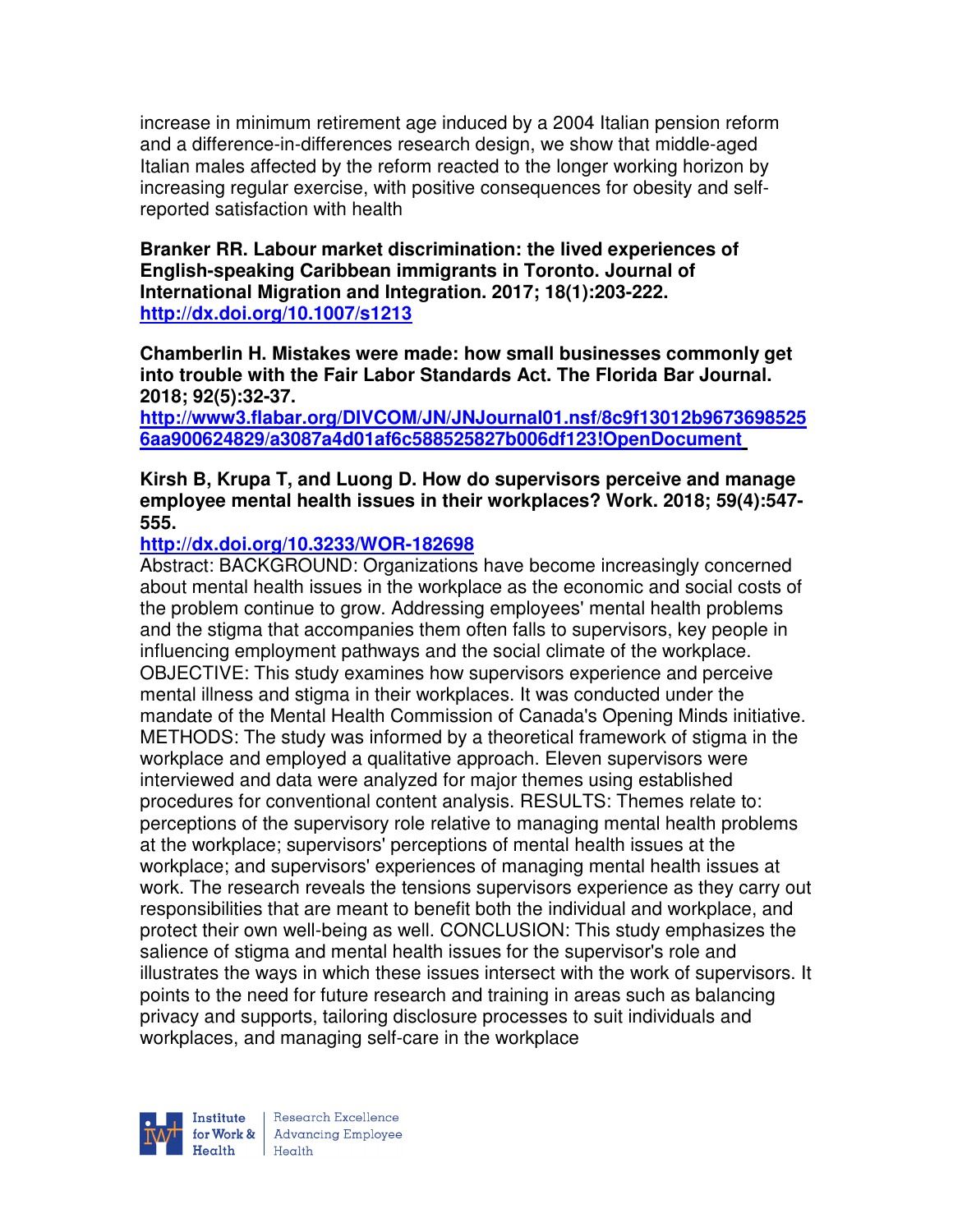increase in minimum retirement age induced by a 2004 Italian pension reform and a difference-in-differences research design, we show that middle-aged Italian males affected by the reform reacted to the longer working horizon by increasing regular exercise, with positive consequences for obesity and selfreported satisfaction with health

### **Branker RR. Labour market discrimination: the lived experiences of English-speaking Caribbean immigrants in Toronto. Journal of International Migration and Integration. 2017; 18(1):203-222. http://dx.doi.org/10.1007/s1213**

**Chamberlin H. Mistakes were made: how small businesses commonly get into trouble with the Fair Labor Standards Act. The Florida Bar Journal. 2018; 92(5):32-37.** 

**http://www3.flabar.org/DIVCOM/JN/JNJournal01.nsf/8c9f13012b9673698525 6aa900624829/a3087a4d01af6c588525827b006df123!OpenDocument** 

### **Kirsh B, Krupa T, and Luong D. How do supervisors perceive and manage employee mental health issues in their workplaces? Work. 2018; 59(4):547- 555.**

# **http://dx.doi.org/10.3233/WOR-182698**

Abstract: BACKGROUND: Organizations have become increasingly concerned about mental health issues in the workplace as the economic and social costs of the problem continue to grow. Addressing employees' mental health problems and the stigma that accompanies them often falls to supervisors, key people in influencing employment pathways and the social climate of the workplace. OBJECTIVE: This study examines how supervisors experience and perceive mental illness and stigma in their workplaces. It was conducted under the mandate of the Mental Health Commission of Canada's Opening Minds initiative. METHODS: The study was informed by a theoretical framework of stigma in the workplace and employed a qualitative approach. Eleven supervisors were interviewed and data were analyzed for major themes using established procedures for conventional content analysis. RESULTS: Themes relate to: perceptions of the supervisory role relative to managing mental health problems at the workplace; supervisors' perceptions of mental health issues at the workplace; and supervisors' experiences of managing mental health issues at work. The research reveals the tensions supervisors experience as they carry out responsibilities that are meant to benefit both the individual and workplace, and protect their own well-being as well. CONCLUSION: This study emphasizes the salience of stigma and mental health issues for the supervisor's role and illustrates the ways in which these issues intersect with the work of supervisors. It points to the need for future research and training in areas such as balancing privacy and supports, tailoring disclosure processes to suit individuals and workplaces, and managing self-care in the workplace



| Research Excellence for Work & Advancing Employee<br>Health Health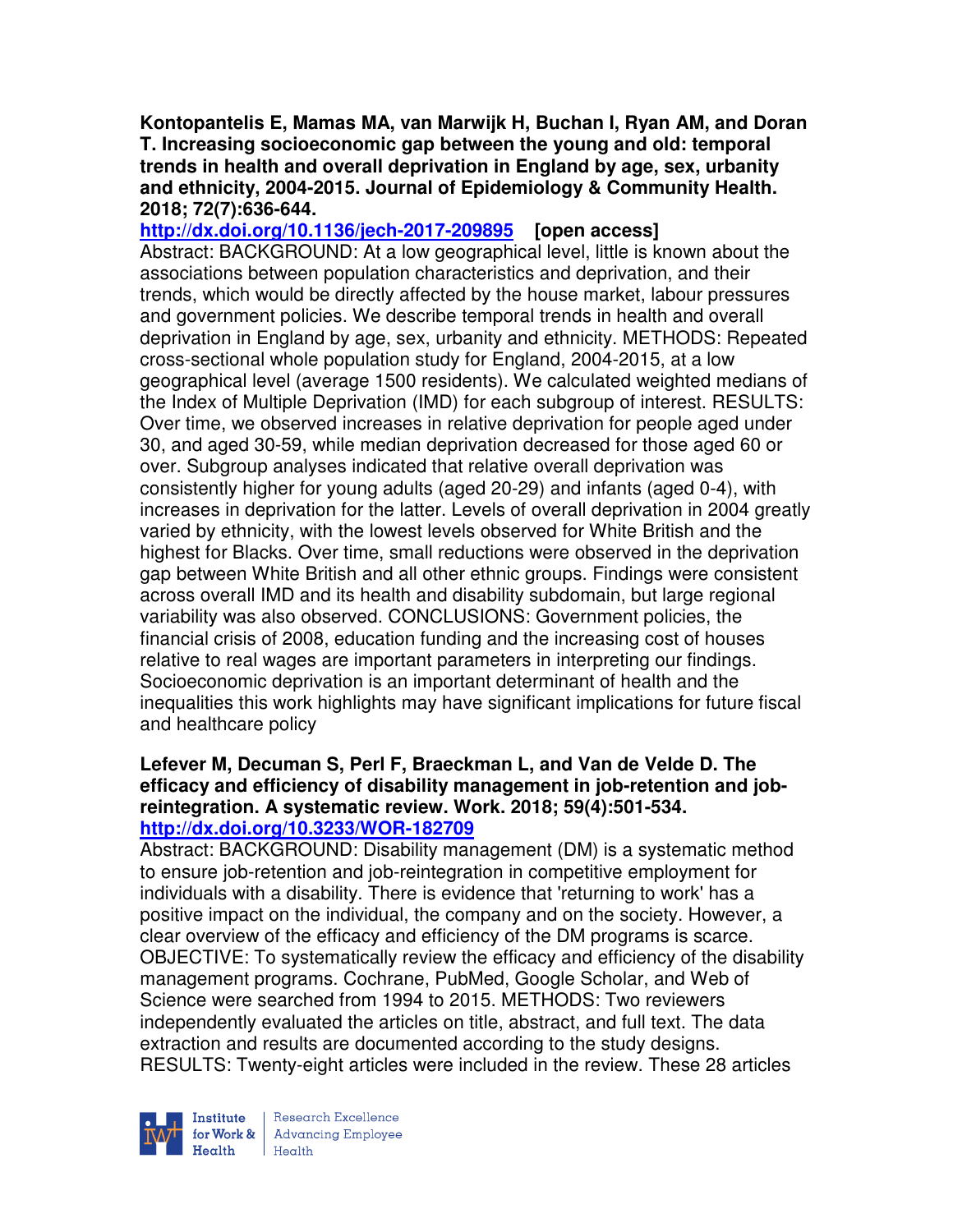**Kontopantelis E, Mamas MA, van Marwijk H, Buchan I, Ryan AM, and Doran T. Increasing socioeconomic gap between the young and old: temporal trends in health and overall deprivation in England by age, sex, urbanity and ethnicity, 2004-2015. Journal of Epidemiology & Community Health. 2018; 72(7):636-644.** 

**http://dx.doi.org/10.1136/jech-2017-209895 [open access]** Abstract: BACKGROUND: At a low geographical level, little is known about the associations between population characteristics and deprivation, and their trends, which would be directly affected by the house market, labour pressures and government policies. We describe temporal trends in health and overall deprivation in England by age, sex, urbanity and ethnicity. METHODS: Repeated cross-sectional whole population study for England, 2004-2015, at a low geographical level (average 1500 residents). We calculated weighted medians of the Index of Multiple Deprivation (IMD) for each subgroup of interest. RESULTS: Over time, we observed increases in relative deprivation for people aged under 30, and aged 30-59, while median deprivation decreased for those aged 60 or over. Subgroup analyses indicated that relative overall deprivation was consistently higher for young adults (aged 20-29) and infants (aged 0-4), with increases in deprivation for the latter. Levels of overall deprivation in 2004 greatly varied by ethnicity, with the lowest levels observed for White British and the highest for Blacks. Over time, small reductions were observed in the deprivation gap between White British and all other ethnic groups. Findings were consistent across overall IMD and its health and disability subdomain, but large regional variability was also observed. CONCLUSIONS: Government policies, the financial crisis of 2008, education funding and the increasing cost of houses relative to real wages are important parameters in interpreting our findings. Socioeconomic deprivation is an important determinant of health and the inequalities this work highlights may have significant implications for future fiscal and healthcare policy

#### **Lefever M, Decuman S, Perl F, Braeckman L, and Van de Velde D. The efficacy and efficiency of disability management in job-retention and jobreintegration. A systematic review. Work. 2018; 59(4):501-534. http://dx.doi.org/10.3233/WOR-182709**

Abstract: BACKGROUND: Disability management (DM) is a systematic method to ensure job-retention and job-reintegration in competitive employment for individuals with a disability. There is evidence that 'returning to work' has a positive impact on the individual, the company and on the society. However, a clear overview of the efficacy and efficiency of the DM programs is scarce. OBJECTIVE: To systematically review the efficacy and efficiency of the disability management programs. Cochrane, PubMed, Google Scholar, and Web of Science were searched from 1994 to 2015. METHODS: Two reviewers independently evaluated the articles on title, abstract, and full text. The data extraction and results are documented according to the study designs. RESULTS: Twenty-eight articles were included in the review. These 28 articles

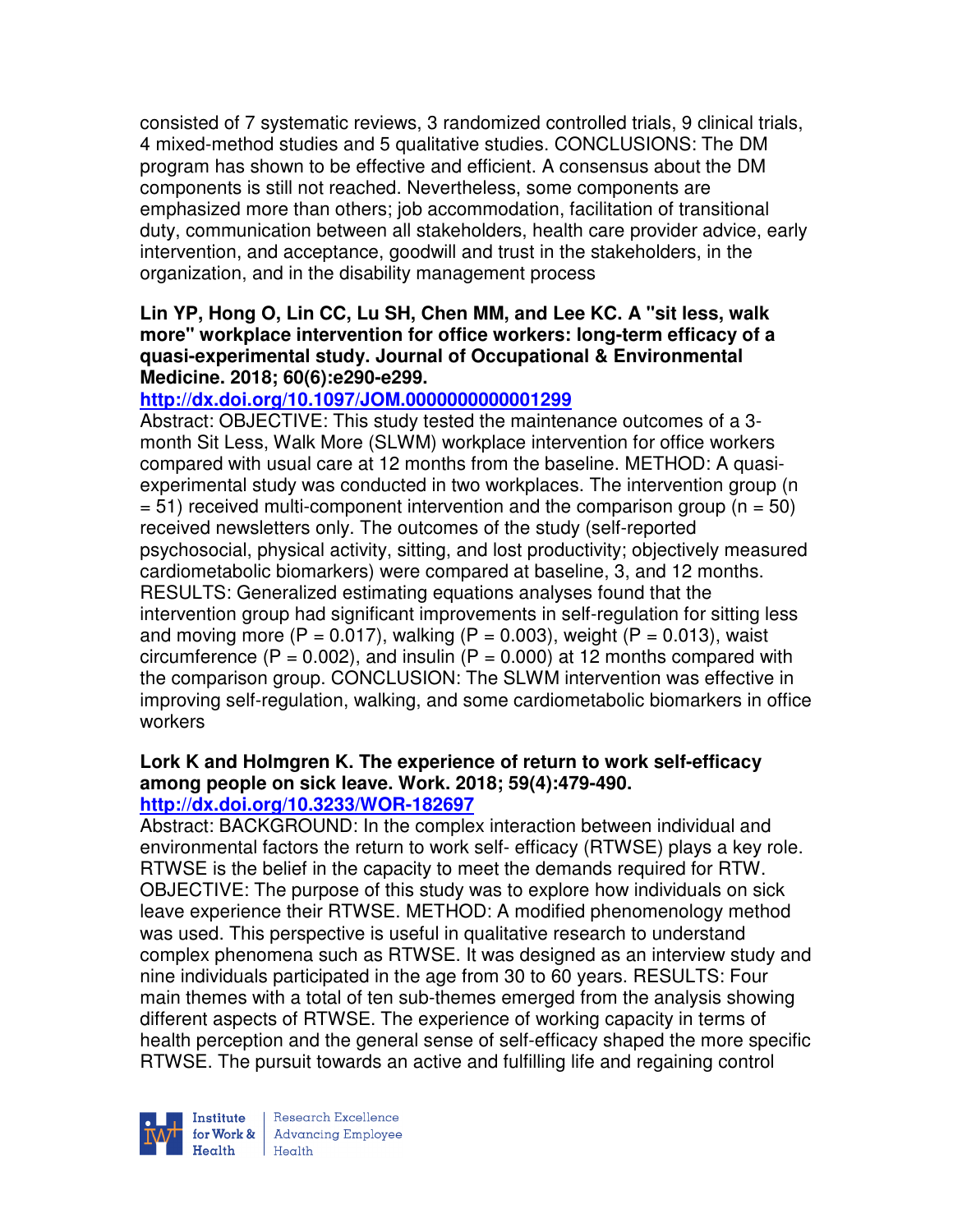consisted of 7 systematic reviews, 3 randomized controlled trials, 9 clinical trials, 4 mixed-method studies and 5 qualitative studies. CONCLUSIONS: The DM program has shown to be effective and efficient. A consensus about the DM components is still not reached. Nevertheless, some components are emphasized more than others; job accommodation, facilitation of transitional duty, communication between all stakeholders, health care provider advice, early intervention, and acceptance, goodwill and trust in the stakeholders, in the organization, and in the disability management process

#### **Lin YP, Hong O, Lin CC, Lu SH, Chen MM, and Lee KC. A "sit less, walk more" workplace intervention for office workers: long-term efficacy of a quasi-experimental study. Journal of Occupational & Environmental Medicine. 2018; 60(6):e290-e299.**

# **http://dx.doi.org/10.1097/JOM.0000000000001299**

Abstract: OBJECTIVE: This study tested the maintenance outcomes of a 3 month Sit Less, Walk More (SLWM) workplace intervention for office workers compared with usual care at 12 months from the baseline. METHOD: A quasiexperimental study was conducted in two workplaces. The intervention group (n  $= 51$ ) received multi-component intervention and the comparison group (n = 50) received newsletters only. The outcomes of the study (self-reported psychosocial, physical activity, sitting, and lost productivity; objectively measured cardiometabolic biomarkers) were compared at baseline, 3, and 12 months. RESULTS: Generalized estimating equations analyses found that the intervention group had significant improvements in self-regulation for sitting less and moving more (P = 0.017), walking (P = 0.003), weight (P = 0.013), waist circumference ( $P = 0.002$ ), and insulin ( $P = 0.000$ ) at 12 months compared with the comparison group. CONCLUSION: The SLWM intervention was effective in improving self-regulation, walking, and some cardiometabolic biomarkers in office workers

#### **Lork K and Holmgren K. The experience of return to work self-efficacy among people on sick leave. Work. 2018; 59(4):479-490. http://dx.doi.org/10.3233/WOR-182697**

Abstract: BACKGROUND: In the complex interaction between individual and environmental factors the return to work self- efficacy (RTWSE) plays a key role. RTWSE is the belief in the capacity to meet the demands required for RTW. OBJECTIVE: The purpose of this study was to explore how individuals on sick leave experience their RTWSE. METHOD: A modified phenomenology method was used. This perspective is useful in qualitative research to understand complex phenomena such as RTWSE. It was designed as an interview study and nine individuals participated in the age from 30 to 60 years. RESULTS: Four main themes with a total of ten sub-themes emerged from the analysis showing different aspects of RTWSE. The experience of working capacity in terms of health perception and the general sense of self-efficacy shaped the more specific RTWSE. The pursuit towards an active and fulfilling life and regaining control

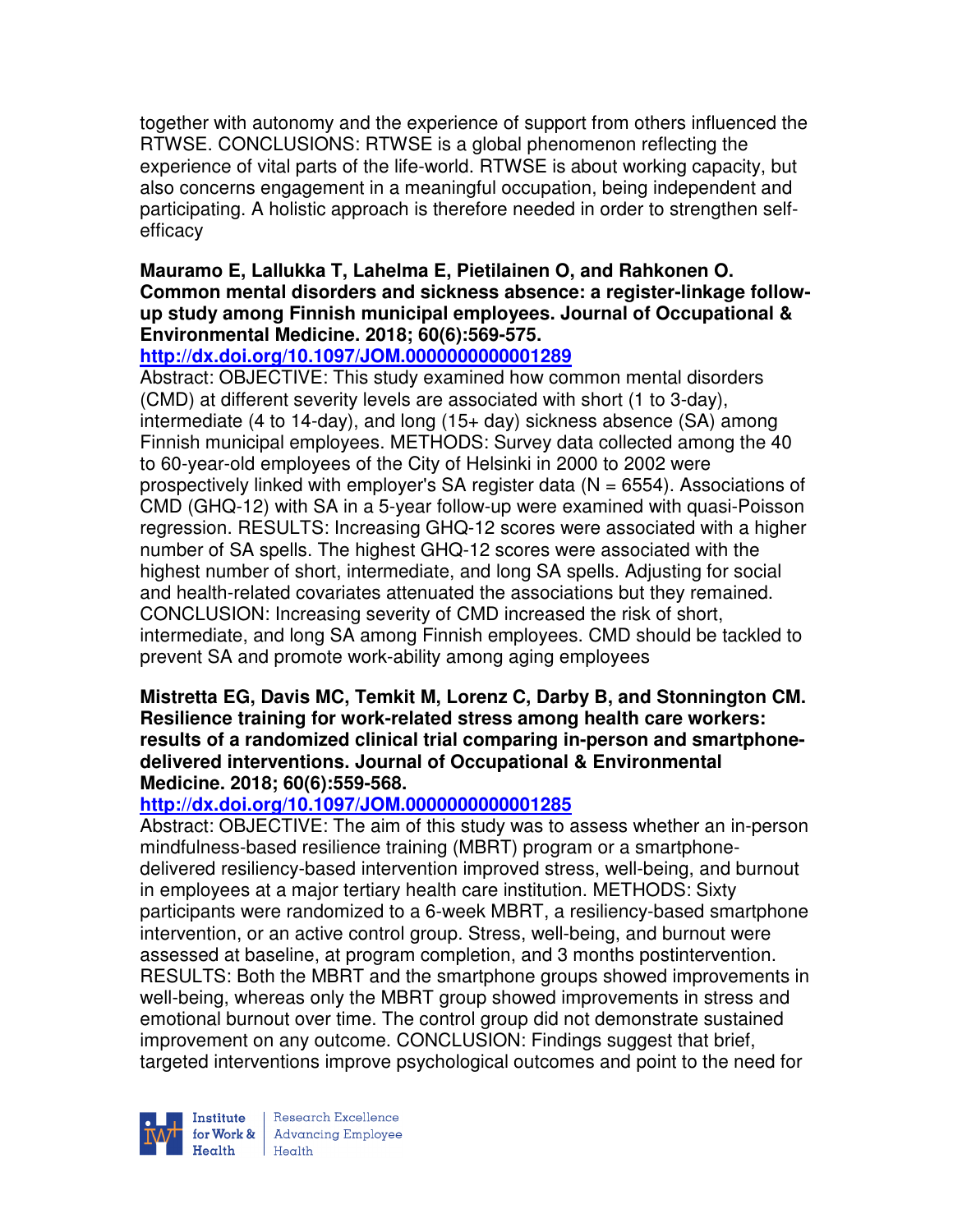together with autonomy and the experience of support from others influenced the RTWSE. CONCLUSIONS: RTWSE is a global phenomenon reflecting the experience of vital parts of the life-world. RTWSE is about working capacity, but also concerns engagement in a meaningful occupation, being independent and participating. A holistic approach is therefore needed in order to strengthen selfefficacy

# **Mauramo E, Lallukka T, Lahelma E, Pietilainen O, and Rahkonen O. Common mental disorders and sickness absence: a register-linkage followup study among Finnish municipal employees. Journal of Occupational & Environmental Medicine. 2018; 60(6):569-575.**

### **http://dx.doi.org/10.1097/JOM.0000000000001289**

Abstract: OBJECTIVE: This study examined how common mental disorders (CMD) at different severity levels are associated with short (1 to 3-day), intermediate (4 to 14-day), and long (15+ day) sickness absence (SA) among Finnish municipal employees. METHODS: Survey data collected among the 40 to 60-year-old employees of the City of Helsinki in 2000 to 2002 were prospectively linked with employer's SA register data  $(N = 6554)$ . Associations of CMD (GHQ-12) with SA in a 5-year follow-up were examined with quasi-Poisson regression. RESULTS: Increasing GHQ-12 scores were associated with a higher number of SA spells. The highest GHQ-12 scores were associated with the highest number of short, intermediate, and long SA spells. Adjusting for social and health-related covariates attenuated the associations but they remained. CONCLUSION: Increasing severity of CMD increased the risk of short, intermediate, and long SA among Finnish employees. CMD should be tackled to prevent SA and promote work-ability among aging employees

#### **Mistretta EG, Davis MC, Temkit M, Lorenz C, Darby B, and Stonnington CM. Resilience training for work-related stress among health care workers: results of a randomized clinical trial comparing in-person and smartphonedelivered interventions. Journal of Occupational & Environmental Medicine. 2018; 60(6):559-568.**

# **http://dx.doi.org/10.1097/JOM.0000000000001285**

Abstract: OBJECTIVE: The aim of this study was to assess whether an in-person mindfulness-based resilience training (MBRT) program or a smartphonedelivered resiliency-based intervention improved stress, well-being, and burnout in employees at a major tertiary health care institution. METHODS: Sixty participants were randomized to a 6-week MBRT, a resiliency-based smartphone intervention, or an active control group. Stress, well-being, and burnout were assessed at baseline, at program completion, and 3 months postintervention. RESULTS: Both the MBRT and the smartphone groups showed improvements in well-being, whereas only the MBRT group showed improvements in stress and emotional burnout over time. The control group did not demonstrate sustained improvement on any outcome. CONCLUSION: Findings suggest that brief, targeted interventions improve psychological outcomes and point to the need for

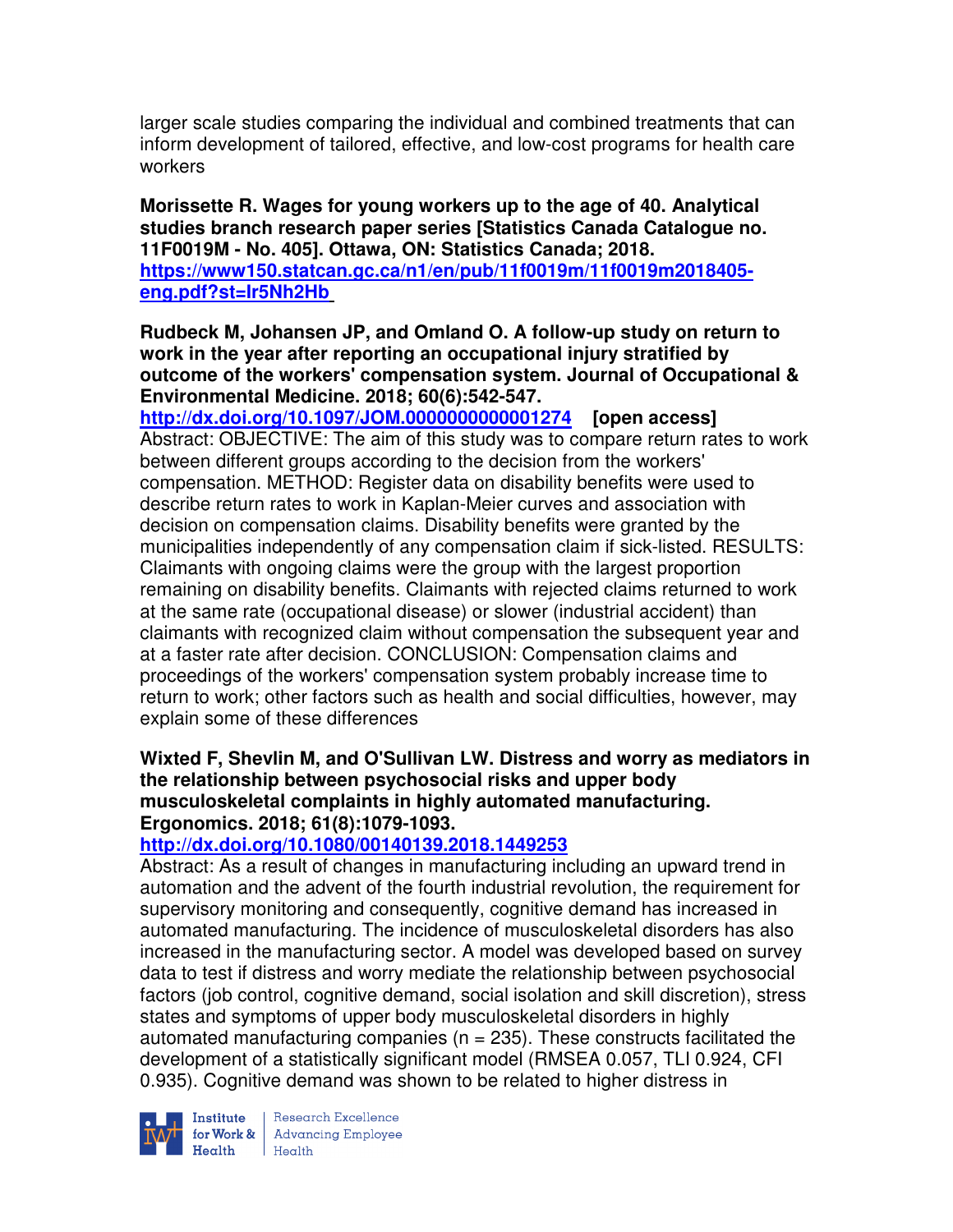larger scale studies comparing the individual and combined treatments that can inform development of tailored, effective, and low-cost programs for health care workers

**Morissette R. Wages for young workers up to the age of 40. Analytical studies branch research paper series [Statistics Canada Catalogue no. 11F0019M - No. 405]. Ottawa, ON: Statistics Canada; 2018. https://www150.statcan.gc.ca/n1/en/pub/11f0019m/11f0019m2018405 eng.pdf?st=Ir5Nh2Hb** 

**Rudbeck M, Johansen JP, and Omland O. A follow-up study on return to work in the year after reporting an occupational injury stratified by outcome of the workers' compensation system. Journal of Occupational & Environmental Medicine. 2018; 60(6):542-547.** 

**http://dx.doi.org/10.1097/JOM.0000000000001274 [open access]** Abstract: OBJECTIVE: The aim of this study was to compare return rates to work between different groups according to the decision from the workers' compensation. METHOD: Register data on disability benefits were used to describe return rates to work in Kaplan-Meier curves and association with decision on compensation claims. Disability benefits were granted by the municipalities independently of any compensation claim if sick-listed. RESULTS: Claimants with ongoing claims were the group with the largest proportion remaining on disability benefits. Claimants with rejected claims returned to work at the same rate (occupational disease) or slower (industrial accident) than claimants with recognized claim without compensation the subsequent year and at a faster rate after decision. CONCLUSION: Compensation claims and proceedings of the workers' compensation system probably increase time to return to work; other factors such as health and social difficulties, however, may explain some of these differences

# **Wixted F, Shevlin M, and O'Sullivan LW. Distress and worry as mediators in the relationship between psychosocial risks and upper body musculoskeletal complaints in highly automated manufacturing. Ergonomics. 2018; 61(8):1079-1093.**

### **http://dx.doi.org/10.1080/00140139.2018.1449253**

Abstract: As a result of changes in manufacturing including an upward trend in automation and the advent of the fourth industrial revolution, the requirement for supervisory monitoring and consequently, cognitive demand has increased in automated manufacturing. The incidence of musculoskeletal disorders has also increased in the manufacturing sector. A model was developed based on survey data to test if distress and worry mediate the relationship between psychosocial factors (job control, cognitive demand, social isolation and skill discretion), stress states and symptoms of upper body musculoskeletal disorders in highly automated manufacturing companies ( $n = 235$ ). These constructs facilitated the development of a statistically significant model (RMSEA 0.057, TLI 0.924, CFI 0.935). Cognitive demand was shown to be related to higher distress in



Institute Research Excellence<br>
for Work & Advancing Employee<br>
Health Health Health Health